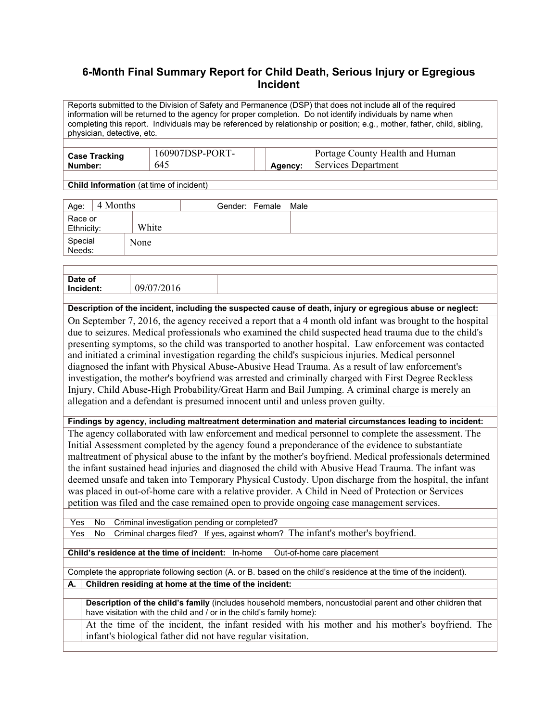## **6-Month Final Summary Report for Child Death, Serious Injury or Egregious Incident**

Reports submitted to the Division of Safety and Permanence (DSP) that does not include all of the required information will be returned to the agency for proper completion. Do not identify individuals by name when completing this report. Individuals may be referenced by relationship or position; e.g., mother, father, child, sibling, physician, detective, etc.

| 160907DSP-PORT-<br><b>Case Tracking</b><br>645<br>Number: | Agency: | Portage County Health and Human<br>Services Department |
|-----------------------------------------------------------|---------|--------------------------------------------------------|
|-----------------------------------------------------------|---------|--------------------------------------------------------|

**Child Information** (at time of incident)

| 4 Months<br>Age:      |       | Gender: Female | Male |
|-----------------------|-------|----------------|------|
| Race or<br>Ethnicity: | White |                |      |
| Special<br>Needs:     | None  |                |      |

| Date of<br>Inc<br>⊡enu. |  |  |
|-------------------------|--|--|
|                         |  |  |

**Description of the incident, including the suspected cause of death, injury or egregious abuse or neglect:** 

On September 7, 2016, the agency received a report that a 4 month old infant was brought to the hospital due to seizures. Medical professionals who examined the child suspected head trauma due to the child's presenting symptoms, so the child was transported to another hospital. Law enforcement was contacted and initiated a criminal investigation regarding the child's suspicious injuries. Medical personnel diagnosed the infant with Physical Abuse-Abusive Head Trauma. As a result of law enforcement's investigation, the mother's boyfriend was arrested and criminally charged with First Degree Reckless Injury, Child Abuse-High Probability/Great Harm and Bail Jumping. A criminal charge is merely an allegation and a defendant is presumed innocent until and unless proven guilty.

**Findings by agency, including maltreatment determination and material circumstances leading to incident:** 

The agency collaborated with law enforcement and medical personnel to complete the assessment. The Initial Assessment completed by the agency found a preponderance of the evidence to substantiate maltreatment of physical abuse to the infant by the mother's boyfriend. Medical professionals determined the infant sustained head injuries and diagnosed the child with Abusive Head Trauma. The infant was deemed unsafe and taken into Temporary Physical Custody. Upon discharge from the hospital, the infant was placed in out-of-home care with a relative provider. A Child in Need of Protection or Services petition was filed and the case remained open to provide ongoing case management services.

Yes No Criminal investigation pending or completed?

Yes No Criminal charges filed? If yes, against whom? The infant's mother's boyfriend.

**Child's residence at the time of incident:** In-home Out-of-home care placement

Complete the appropriate following section (A. or B. based on the child's residence at the time of the incident). **A. Children residing at home at the time of the incident:**

**Description of the child's family** (includes household members, noncustodial parent and other children that have visitation with the child and / or in the child's family home):

 At the time of the incident, the infant resided with his mother and his mother's boyfriend. The infant's biological father did not have regular visitation.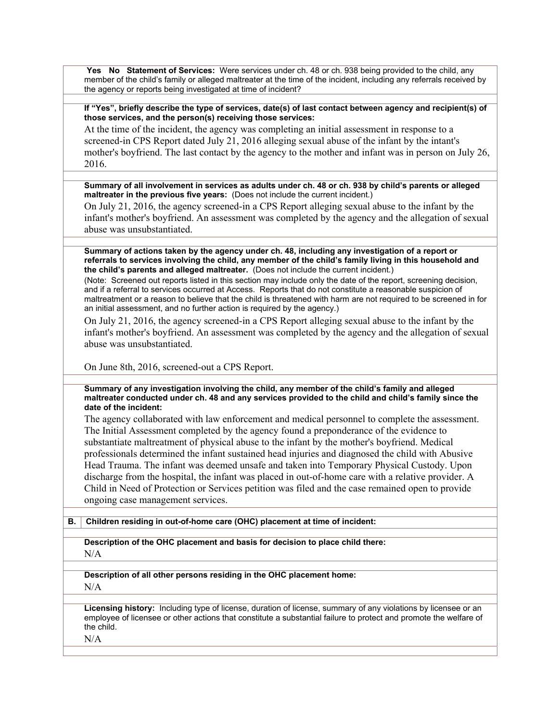**Yes No Statement of Services:** Were services under ch. 48 or ch. 938 being provided to the child, any member of the child's family or alleged maltreater at the time of the incident, including any referrals received by the agency or reports being investigated at time of incident?

**If "Yes", briefly describe the type of services, date(s) of last contact between agency and recipient(s) of those services, and the person(s) receiving those services:** 

At the time of the incident, the agency was completing an initial assessment in response to a screened-in CPS Report dated July 21, 2016 alleging sexual abuse of the infant by the intant's mother's boyfriend. The last contact by the agency to the mother and infant was in person on July 26, 2016.

**Summary of all involvement in services as adults under ch. 48 or ch. 938 by child's parents or alleged maltreater in the previous five years:** (Does not include the current incident.)

On July 21, 2016, the agency screened-in a CPS Report alleging sexual abuse to the infant by the infant's mother's boyfriend. An assessment was completed by the agency and the allegation of sexual abuse was unsubstantiated.

**Summary of actions taken by the agency under ch. 48, including any investigation of a report or referrals to services involving the child, any member of the child's family living in this household and the child's parents and alleged maltreater.** (Does not include the current incident.)

(Note: Screened out reports listed in this section may include only the date of the report, screening decision, and if a referral to services occurred at Access. Reports that do not constitute a reasonable suspicion of maltreatment or a reason to believe that the child is threatened with harm are not required to be screened in for an initial assessment, and no further action is required by the agency.)

On July 21, 2016, the agency screened-in a CPS Report alleging sexual abuse to the infant by the infant's mother's boyfriend. An assessment was completed by the agency and the allegation of sexual abuse was unsubstantiated.

On June 8th, 2016, screened-out a CPS Report.

**Summary of any investigation involving the child, any member of the child's family and alleged maltreater conducted under ch. 48 and any services provided to the child and child's family since the date of the incident:** 

The agency collaborated with law enforcement and medical personnel to complete the assessment. The Initial Assessment completed by the agency found a preponderance of the evidence to substantiate maltreatment of physical abuse to the infant by the mother's boyfriend. Medical professionals determined the infant sustained head injuries and diagnosed the child with Abusive Head Trauma. The infant was deemed unsafe and taken into Temporary Physical Custody. Upon discharge from the hospital, the infant was placed in out-of-home care with a relative provider. A Child in Need of Protection or Services petition was filed and the case remained open to provide ongoing case management services.

**B. Children residing in out-of-home care (OHC) placement at time of incident:**

**Description of the OHC placement and basis for decision to place child there:** 

N/A

**Description of all other persons residing in the OHC placement home:**  N/A

**Licensing history:** Including type of license, duration of license, summary of any violations by licensee or an employee of licensee or other actions that constitute a substantial failure to protect and promote the welfare of the child.

N/A